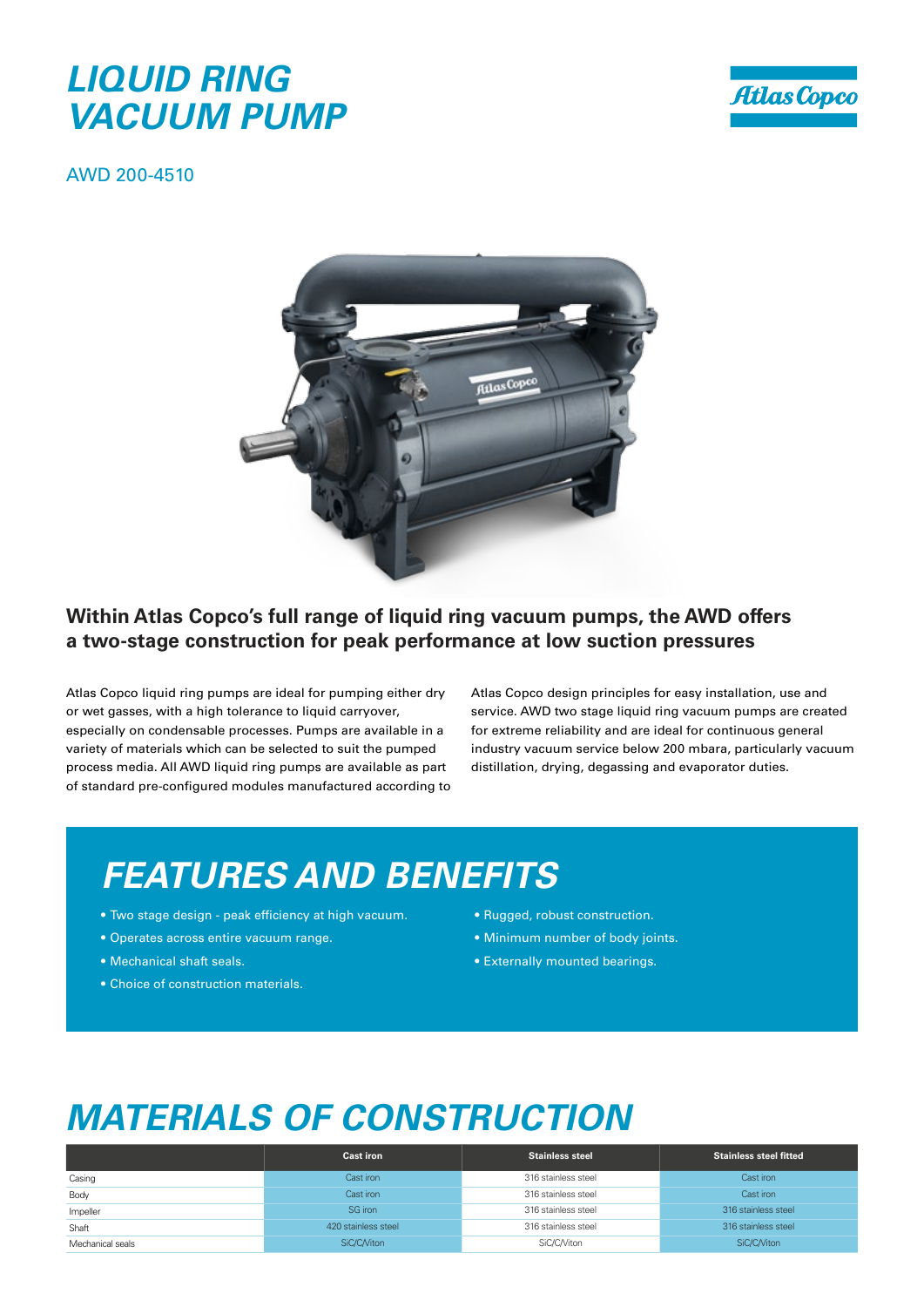#### *LIQUID RING VACUUM PUMP*



AWD 200-4510



#### **Within Atlas Copco's full range of liquid ring vacuum pumps, the AWD offers a two-stage construction for peak performance at low suction pressures**

Atlas Copco liquid ring pumps are ideal for pumping either dry or wet gasses, with a high tolerance to liquid carryover, especially on condensable processes. Pumps are available in a variety of materials which can be selected to suit the pumped process media. All AWD liquid ring pumps are available as part of standard pre-configured modules manufactured according to Atlas Copco design principles for easy installation, use and service. AWD two stage liquid ring vacuum pumps are created for extreme reliability and are ideal for continuous general industry vacuum service below 200 mbara, particularly vacuum distillation, drying, degassing and evaporator duties.

### *FEATURES AND BENEFITS*

- Two stage design peak efficiency at high vacuum.
- Operates across entire vacuum range.
- Mechanical shaft seals.
- Choice of construction materials.
- Rugged, robust construction.
- Minimum number of body joints.
- Externally mounted bearings.

### *MATERIALS OF CONSTRUCTION*

|                  | <b>Cast iron</b>    | <b>Stainless steel</b> | <b>Stainless steel fitted</b> |  |  |
|------------------|---------------------|------------------------|-------------------------------|--|--|
| Casing           | Cast iron           | 316 stainless steel    | Cast iron                     |  |  |
| Body             | Cast iron           | 316 stainless steel    | Cast iron                     |  |  |
| Impeller         | SG iron             | 316 stainless steel    | 316 stainless steel           |  |  |
| Shaft            | 420 stainless steel | 316 stainless steel    | 316 stainless steel           |  |  |
| Mechanical seals | SiC/C/Viton         | SiC/C/Viton            | SiC/C/Viton                   |  |  |